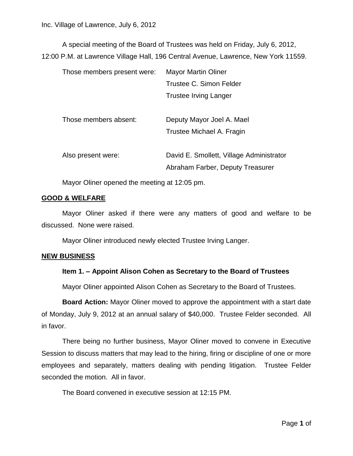A special meeting of the Board of Trustees was held on Friday, July 6, 2012, 12:00 P.M. at Lawrence Village Hall, 196 Central Avenue, Lawrence, New York 11559.

| Those members present were: | <b>Mayor Martin Oliner</b>               |
|-----------------------------|------------------------------------------|
|                             | Trustee C. Simon Felder                  |
|                             | Trustee Irving Langer                    |
|                             |                                          |
| Those members absent:       | Deputy Mayor Joel A. Mael                |
|                             | Trustee Michael A. Fragin                |
|                             |                                          |
| Also present were:          | David E. Smollett, Village Administrator |
|                             | Abraham Farber, Deputy Treasurer         |

Mayor Oliner opened the meeting at 12:05 pm.

## **GOOD & WELFARE**

Mayor Oliner asked if there were any matters of good and welfare to be discussed. None were raised.

Mayor Oliner introduced newly elected Trustee Irving Langer.

## **NEW BUSINESS**

## **Item 1. – Appoint Alison Cohen as Secretary to the Board of Trustees**

Mayor Oliner appointed Alison Cohen as Secretary to the Board of Trustees.

**Board Action:** Mayor Oliner moved to approve the appointment with a start date of Monday, July 9, 2012 at an annual salary of \$40,000. Trustee Felder seconded. All in favor.

There being no further business, Mayor Oliner moved to convene in Executive Session to discuss matters that may lead to the hiring, firing or discipline of one or more employees and separately, matters dealing with pending litigation. Trustee Felder seconded the motion. All in favor.

The Board convened in executive session at 12:15 PM.